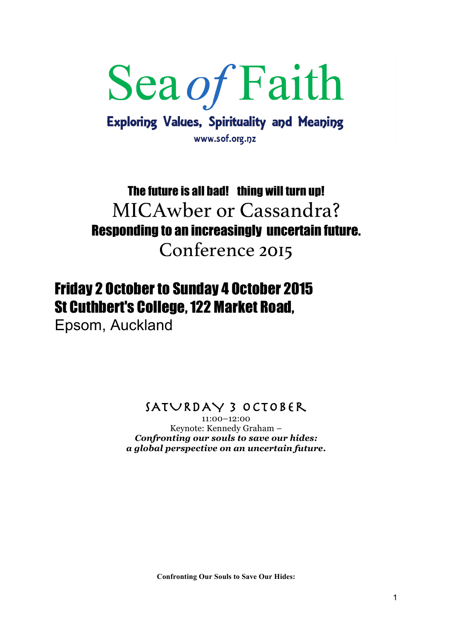# Sea of Faith **Exploring Values, Spirituality and Meaning**

www.sof.org.nz

## The future is all bad! thing will turn up! MICAwber or Cassandra? Responding to an increasingly uncertain future. Conference 2015

### Friday 2 October to Sunday 4 October 2015 St Cuthbert's College, 122 Market Road,

Epsom, Auckland

SATURDAY 3 October

11:00–12:00 Keynote: Kennedy Graham – *Confronting our souls to save our hides: a global perspective on an uncertain future***.**

**Confronting Our Souls to Save Our Hides:**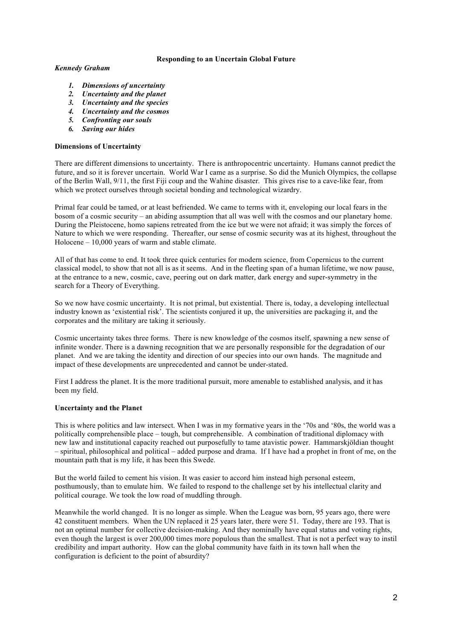#### **Responding to an Uncertain Global Future**

#### *Kennedy Graham*

- *1. Dimensions of uncertainty*
- *2. Uncertainty and the planet*
- *3. Uncertainty and the species*
- *4. Uncertainty and the cosmos*
- *5. Confronting our souls*
- *6. Saving our hides*

#### **Dimensions of Uncertainty**

There are different dimensions to uncertainty. There is anthropocentric uncertainty. Humans cannot predict the future, and so it is forever uncertain. World War I came as a surprise. So did the Munich Olympics, the collapse of the Berlin Wall, 9/11, the first Fiji coup and the Wahine disaster. This gives rise to a cave-like fear, from which we protect ourselves through societal bonding and technological wizardry.

Primal fear could be tamed, or at least befriended. We came to terms with it, enveloping our local fears in the bosom of a cosmic security – an abiding assumption that all was well with the cosmos and our planetary home. During the Pleistocene, homo sapiens retreated from the ice but we were not afraid; it was simply the forces of Nature to which we were responding. Thereafter, our sense of cosmic security was at its highest, throughout the Holocene – 10,000 years of warm and stable climate.

All of that has come to end. It took three quick centuries for modern science, from Copernicus to the current classical model, to show that not all is as it seems. And in the fleeting span of a human lifetime, we now pause, at the entrance to a new, cosmic, cave, peering out on dark matter, dark energy and super-symmetry in the search for a Theory of Everything.

So we now have cosmic uncertainty. It is not primal, but existential. There is, today, a developing intellectual industry known as 'existential risk'. The scientists conjured it up, the universities are packaging it, and the corporates and the military are taking it seriously.

Cosmic uncertainty takes three forms. There is new knowledge of the cosmos itself, spawning a new sense of infinite wonder. There is a dawning recognition that we are personally responsible for the degradation of our planet. And we are taking the identity and direction of our species into our own hands. The magnitude and impact of these developments are unprecedented and cannot be under-stated.

First I address the planet. It is the more traditional pursuit, more amenable to established analysis, and it has been my field.

#### **Uncertainty and the Planet**

This is where politics and law intersect. When I was in my formative years in the '70s and '80s, the world was a politically comprehensible place – tough, but comprehensible. A combination of traditional diplomacy with new law and institutional capacity reached out purposefully to tame atavistic power. Hammarskjöldian thought – spiritual, philosophical and political – added purpose and drama. If I have had a prophet in front of me, on the mountain path that is my life, it has been this Swede.

But the world failed to cement his vision. It was easier to accord him instead high personal esteem, posthumously, than to emulate him. We failed to respond to the challenge set by his intellectual clarity and political courage. We took the low road of muddling through.

Meanwhile the world changed. It is no longer as simple. When the League was born, 95 years ago, there were 42 constituent members. When the UN replaced it 25 years later, there were 51. Today, there are 193. That is not an optimal number for collective decision-making. And they nominally have equal status and voting rights, even though the largest is over 200,000 times more populous than the smallest. That is not a perfect way to instil credibility and impart authority. How can the global community have faith in its town hall when the configuration is deficient to the point of absurdity?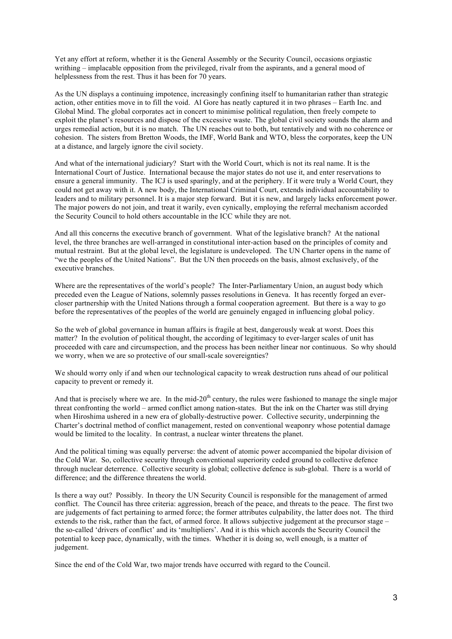Yet any effort at reform, whether it is the General Assembly or the Security Council, occasions orgiastic writhing – implacable opposition from the privileged, rivalr from the aspirants, and a general mood of helplessness from the rest. Thus it has been for 70 years.

As the UN displays a continuing impotence, increasingly confining itself to humanitarian rather than strategic action, other entities move in to fill the void. Al Gore has neatly captured it in two phrases – Earth Inc. and Global Mind. The global corporates act in concert to minimise political regulation, then freely compete to exploit the planet's resources and dispose of the excessive waste. The global civil society sounds the alarm and urges remedial action, but it is no match. The UN reaches out to both, but tentatively and with no coherence or cohesion. The sisters from Bretton Woods, the IMF, World Bank and WTO, bless the corporates, keep the UN at a distance, and largely ignore the civil society.

And what of the international judiciary? Start with the World Court, which is not its real name. It is the International Court of Justice. International because the major states do not use it, and enter reservations to ensure a general immunity. The ICJ is used sparingly, and at the periphery. If it were truly a World Court, they could not get away with it. A new body, the International Criminal Court, extends individual accountability to leaders and to military personnel. It is a major step forward. But it is new, and largely lacks enforcement power. The major powers do not join, and treat it warily, even cynically, employing the referral mechanism accorded the Security Council to hold others accountable in the ICC while they are not.

And all this concerns the executive branch of government. What of the legislative branch? At the national level, the three branches are well-arranged in constitutional inter-action based on the principles of comity and mutual restraint. But at the global level, the legislature is undeveloped. The UN Charter opens in the name of "we the peoples of the United Nations". But the UN then proceeds on the basis, almost exclusively, of the executive branches.

Where are the representatives of the world's people? The Inter-Parliamentary Union, an august body which preceded even the League of Nations, solemnly passes resolutions in Geneva. It has recently forged an evercloser partnership with the United Nations through a formal cooperation agreement. But there is a way to go before the representatives of the peoples of the world are genuinely engaged in influencing global policy.

So the web of global governance in human affairs is fragile at best, dangerously weak at worst. Does this matter? In the evolution of political thought, the according of legitimacy to ever-larger scales of unit has proceeded with care and circumspection, and the process has been neither linear nor continuous. So why should we worry, when we are so protective of our small-scale sovereignties?

We should worry only if and when our technological capacity to wreak destruction runs ahead of our political capacity to prevent or remedy it.

And that is precisely where we are. In the mid-20<sup>th</sup> century, the rules were fashioned to manage the single major threat confronting the world – armed conflict among nation-states. But the ink on the Charter was still drying when Hiroshima ushered in a new era of globally-destructive power. Collective security, underpinning the Charter's doctrinal method of conflict management, rested on conventional weaponry whose potential damage would be limited to the locality. In contrast, a nuclear winter threatens the planet.

And the political timing was equally perverse: the advent of atomic power accompanied the bipolar division of the Cold War. So, collective security through conventional superiority ceded ground to collective defence through nuclear deterrence. Collective security is global; collective defence is sub-global. There is a world of difference; and the difference threatens the world.

Is there a way out? Possibly. In theory the UN Security Council is responsible for the management of armed conflict. The Council has three criteria: aggression, breach of the peace, and threats to the peace. The first two are judgements of fact pertaining to armed force; the former attributes culpability, the latter does not. The third extends to the risk, rather than the fact, of armed force. It allows subjective judgement at the precursor stage – the so-called 'drivers of conflict' and its 'multipliers'. And it is this which accords the Security Council the potential to keep pace, dynamically, with the times. Whether it is doing so, well enough, is a matter of judgement.

Since the end of the Cold War, two major trends have occurred with regard to the Council.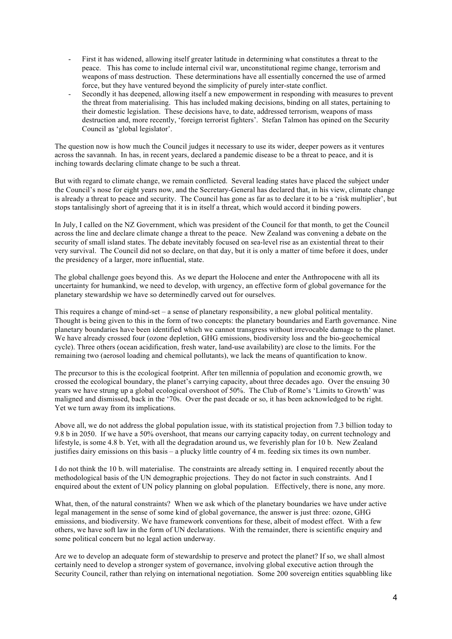- First it has widened, allowing itself greater latitude in determining what constitutes a threat to the peace. This has come to include internal civil war, unconstitutional regime change, terrorism and weapons of mass destruction. These determinations have all essentially concerned the use of armed force, but they have ventured beyond the simplicity of purely inter-state conflict.
- Secondly it has deepened, allowing itself a new empowerment in responding with measures to prevent the threat from materialising. This has included making decisions, binding on all states, pertaining to their domestic legislation. These decisions have, to date, addressed terrorism, weapons of mass destruction and, more recently, 'foreign terrorist fighters'. Stefan Talmon has opined on the Security Council as 'global legislator'.

The question now is how much the Council judges it necessary to use its wider, deeper powers as it ventures across the savannah. In has, in recent years, declared a pandemic disease to be a threat to peace, and it is inching towards declaring climate change to be such a threat.

But with regard to climate change, we remain conflicted. Several leading states have placed the subject under the Council's nose for eight years now, and the Secretary-General has declared that, in his view, climate change is already a threat to peace and security. The Council has gone as far as to declare it to be a 'risk multiplier', but stops tantalisingly short of agreeing that it is in itself a threat, which would accord it binding powers.

In July, I called on the NZ Government, which was president of the Council for that month, to get the Council across the line and declare climate change a threat to the peace. New Zealand was convening a debate on the security of small island states. The debate inevitably focused on sea-level rise as an existential threat to their very survival. The Council did not so declare, on that day, but it is only a matter of time before it does, under the presidency of a larger, more influential, state.

The global challenge goes beyond this. As we depart the Holocene and enter the Anthropocene with all its uncertainty for humankind, we need to develop, with urgency, an effective form of global governance for the planetary stewardship we have so determinedly carved out for ourselves.

This requires a change of mind-set – a sense of planetary responsibility, a new global political mentality. Thought is being given to this in the form of two concepts: the planetary boundaries and Earth governance. Nine planetary boundaries have been identified which we cannot transgress without irrevocable damage to the planet. We have already crossed four (ozone depletion, GHG emissions, biodiversity loss and the bio-geochemical cycle). Three others (ocean acidification, fresh water, land-use availability) are close to the limits. For the remaining two (aerosol loading and chemical pollutants), we lack the means of quantification to know.

The precursor to this is the ecological footprint. After ten millennia of population and economic growth, we crossed the ecological boundary, the planet's carrying capacity, about three decades ago. Over the ensuing 30 years we have strung up a global ecological overshoot of 50%. The Club of Rome's 'Limits to Growth' was maligned and dismissed, back in the '70s. Over the past decade or so, it has been acknowledged to be right. Yet we turn away from its implications.

Above all, we do not address the global population issue, with its statistical projection from 7.3 billion today to 9.8 b in 2050. If we have a 50% overshoot, that means our carrying capacity today, on current technology and lifestyle, is some 4.8 b. Yet, with all the degradation around us, we feverishly plan for 10 b. New Zealand justifies dairy emissions on this basis – a plucky little country of 4 m. feeding six times its own number.

I do not think the 10 b. will materialise. The constraints are already setting in. I enquired recently about the methodological basis of the UN demographic projections. They do not factor in such constraints. And I enquired about the extent of UN policy planning on global population. Effectively, there is none, any more.

What, then, of the natural constraints? When we ask which of the planetary boundaries we have under active legal management in the sense of some kind of global governance, the answer is just three: ozone, GHG emissions, and biodiversity. We have framework conventions for these, albeit of modest effect. With a few others, we have soft law in the form of UN declarations. With the remainder, there is scientific enquiry and some political concern but no legal action underway.

Are we to develop an adequate form of stewardship to preserve and protect the planet? If so, we shall almost certainly need to develop a stronger system of governance, involving global executive action through the Security Council, rather than relying on international negotiation. Some 200 sovereign entities squabbling like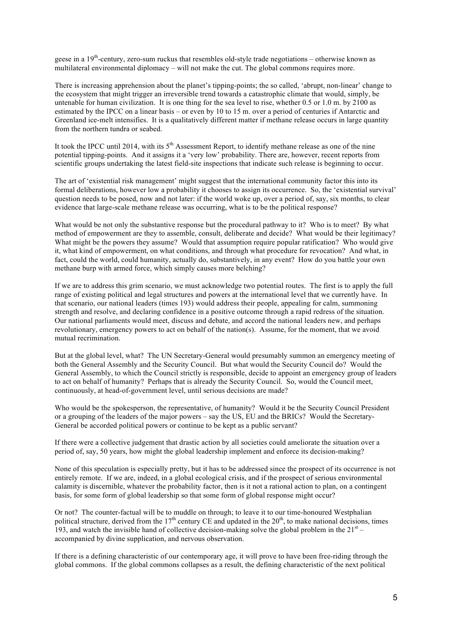geese in a  $19<sup>th</sup>$ -century, zero-sum ruckus that resembles old-style trade negotiations – otherwise known as multilateral environmental diplomacy – will not make the cut. The global commons requires more.

There is increasing apprehension about the planet's tipping-points; the so called, 'abrupt, non-linear' change to the ecosystem that might trigger an irreversible trend towards a catastrophic climate that would, simply, be untenable for human civilization. It is one thing for the sea level to rise, whether 0.5 or 1.0 m. by 2100 as estimated by the IPCC on a linear basis – or even by 10 to 15 m. over a period of centuries if Antarctic and Greenland ice-melt intensifies. It is a qualitatively different matter if methane release occurs in large quantity from the northern tundra or seabed.

It took the IPCC until 2014, with its 5<sup>th</sup> Assessment Report, to identify methane release as one of the nine potential tipping-points. And it assigns it a 'very low' probability. There are, however, recent reports from scientific groups undertaking the latest field-site inspections that indicate such release is beginning to occur.

The art of 'existential risk management' might suggest that the international community factor this into its formal deliberations, however low a probability it chooses to assign its occurrence. So, the 'existential survival' question needs to be posed, now and not later: if the world woke up, over a period of, say, six months, to clear evidence that large-scale methane release was occurring, what is to be the political response?

What would be not only the substantive response but the procedural pathway to it? Who is to meet? By what method of empowerment are they to assemble, consult, deliberate and decide? What would be their legitimacy? What might be the powers they assume? Would that assumption require popular ratification? Who would give it, what kind of empowerment, on what conditions, and through what procedure for revocation? And what, in fact, could the world, could humanity, actually do, substantively, in any event? How do you battle your own methane burp with armed force, which simply causes more belching?

If we are to address this grim scenario, we must acknowledge two potential routes. The first is to apply the full range of existing political and legal structures and powers at the international level that we currently have. In that scenario, our national leaders (times 193) would address their people, appealing for calm, summoning strength and resolve, and declaring confidence in a positive outcome through a rapid redress of the situation. Our national parliaments would meet, discuss and debate, and accord the national leaders new, and perhaps revolutionary, emergency powers to act on behalf of the nation(s). Assume, for the moment, that we avoid mutual recrimination.

But at the global level, what? The UN Secretary-General would presumably summon an emergency meeting of both the General Assembly and the Security Council. But what would the Security Council do? Would the General Assembly, to which the Council strictly is responsible, decide to appoint an emergency group of leaders to act on behalf of humanity? Perhaps that is already the Security Council. So, would the Council meet, continuously, at head-of-government level, until serious decisions are made?

Who would be the spokesperson, the representative, of humanity? Would it be the Security Council President or a grouping of the leaders of the major powers – say the US, EU and the BRICs? Would the Secretary-General be accorded political powers or continue to be kept as a public servant?

If there were a collective judgement that drastic action by all societies could ameliorate the situation over a period of, say, 50 years, how might the global leadership implement and enforce its decision-making?

None of this speculation is especially pretty, but it has to be addressed since the prospect of its occurrence is not entirely remote. If we are, indeed, in a global ecological crisis, and if the prospect of serious environmental calamity is discernible, whatever the probability factor, then is it not a rational action to plan, on a contingent basis, for some form of global leadership so that some form of global response might occur?

Or not? The counter-factual will be to muddle on through; to leave it to our time-honoured Westphalian political structure, derived from the  $17<sup>th</sup>$  century CE and updated in the  $20<sup>th</sup>$ , to make national decisions, times 193, and watch the invisible hand of collective decision-making solve the global problem in the  $21<sup>st</sup>$  – accompanied by divine supplication, and nervous observation.

If there is a defining characteristic of our contemporary age, it will prove to have been free-riding through the global commons. If the global commons collapses as a result, the defining characteristic of the next political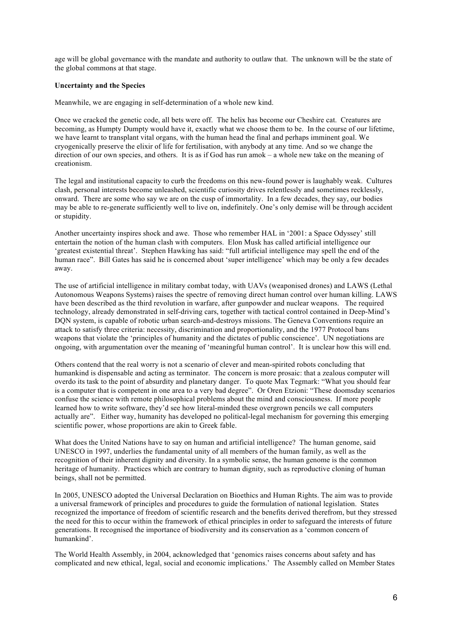age will be global governance with the mandate and authority to outlaw that. The unknown will be the state of the global commons at that stage.

#### **Uncertainty and the Species**

Meanwhile, we are engaging in self-determination of a whole new kind.

Once we cracked the genetic code, all bets were off. The helix has become our Cheshire cat. Creatures are becoming, as Humpty Dumpty would have it, exactly what we choose them to be. In the course of our lifetime, we have learnt to transplant vital organs, with the human head the final and perhaps imminent goal. We cryogenically preserve the elixir of life for fertilisation, with anybody at any time. And so we change the direction of our own species, and others. It is as if God has run amok – a whole new take on the meaning of creationism.

The legal and institutional capacity to curb the freedoms on this new-found power is laughably weak. Cultures clash, personal interests become unleashed, scientific curiosity drives relentlessly and sometimes recklessly, onward. There are some who say we are on the cusp of immortality. In a few decades, they say, our bodies may be able to re-generate sufficiently well to live on, indefinitely. One's only demise will be through accident or stupidity.

Another uncertainty inspires shock and awe. Those who remember HAL in '2001: a Space Odyssey' still entertain the notion of the human clash with computers. Elon Musk has called artificial intelligence our 'greatest existential threat'. Stephen Hawking has said: "full artificial intelligence may spell the end of the human race". Bill Gates has said he is concerned about 'super intelligence' which may be only a few decades away.

The use of artificial intelligence in military combat today, with UAVs (weaponised drones) and LAWS (Lethal Autonomous Weapons Systems) raises the spectre of removing direct human control over human killing. LAWS have been described as the third revolution in warfare, after gunpowder and nuclear weapons. The required technology, already demonstrated in self-driving cars, together with tactical control contained in Deep-Mind's DQN system, is capable of robotic urban search-and-destroys missions. The Geneva Conventions require an attack to satisfy three criteria: necessity, discrimination and proportionality, and the 1977 Protocol bans weapons that violate the 'principles of humanity and the dictates of public conscience'. UN negotiations are ongoing, with argumentation over the meaning of 'meaningful human control'. It is unclear how this will end.

Others contend that the real worry is not a scenario of clever and mean-spirited robots concluding that humankind is dispensable and acting as terminator. The concern is more prosaic: that a zealous computer will overdo its task to the point of absurdity and planetary danger. To quote Max Tegmark: "What you should fear is a computer that is competent in one area to a very bad degree". Or Oren Etzioni: "These doomsday scenarios confuse the science with remote philosophical problems about the mind and consciousness. If more people learned how to write software, they'd see how literal-minded these overgrown pencils we call computers actually are". Either way, humanity has developed no political-legal mechanism for governing this emerging scientific power, whose proportions are akin to Greek fable.

What does the United Nations have to say on human and artificial intelligence? The human genome, said UNESCO in 1997, underlies the fundamental unity of all members of the human family, as well as the recognition of their inherent dignity and diversity. In a symbolic sense, the human genome is the common heritage of humanity. Practices which are contrary to human dignity, such as reproductive cloning of human beings, shall not be permitted.

In 2005, UNESCO adopted the Universal Declaration on Bioethics and Human Rights. The aim was to provide a universal framework of principles and procedures to guide the formulation of national legislation. States recognized the importance of freedom of scientific research and the benefits derived therefrom, but they stressed the need for this to occur within the framework of ethical principles in order to safeguard the interests of future generations. It recognised the importance of biodiversity and its conservation as a 'common concern of humankind'.

The World Health Assembly, in 2004, acknowledged that 'genomics raises concerns about safety and has complicated and new ethical, legal, social and economic implications.' The Assembly called on Member States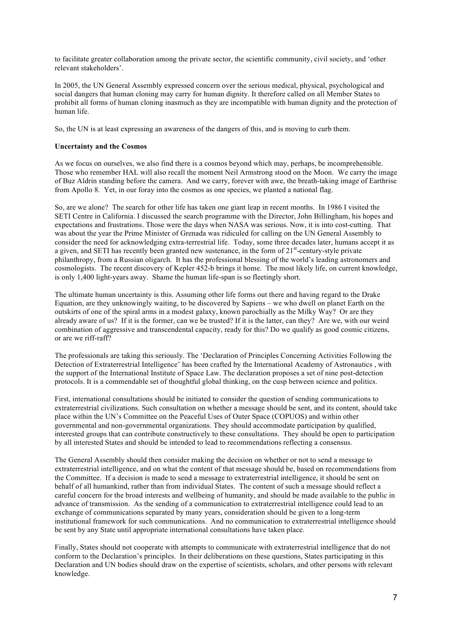to facilitate greater collaboration among the private sector, the scientific community, civil society, and 'other relevant stakeholders'.

In 2005, the UN General Assembly expressed concern over the serious medical, physical, psychological and social dangers that human cloning may carry for human dignity. It therefore called on all Member States to prohibit all forms of human cloning inasmuch as they are incompatible with human dignity and the protection of human life.

So, the UN is at least expressing an awareness of the dangers of this, and is moving to curb them.

#### **Uncertainty and the Cosmos**

As we focus on ourselves, we also find there is a cosmos beyond which may, perhaps, be incomprehensible. Those who remember HAL will also recall the moment Neil Armstrong stood on the Moon. We carry the image of Buz Aldrin standing before the camera. And we carry, forever with awe, the breath-taking image of Earthrise from Apollo 8. Yet, in our foray into the cosmos as one species, we planted a national flag.

So, are we alone? The search for other life has taken one giant leap in recent months. In 1986 I visited the SETI Centre in California. I discussed the search programme with the Director, John Billingham, his hopes and expectations and frustrations. Those were the days when NASA was serious. Now, it is into cost-cutting. That was about the year the Prime Minister of Grenada was ridiculed for calling on the UN General Assembly to consider the need for acknowledging extra-terrestrial life. Today, some three decades later, humans accept it as a given, and SETI has recently been granted new sustenance, in the form of 21<sup>st</sup>-century-style private philanthropy, from a Russian oligarch. It has the professional blessing of the world's leading astronomers and cosmologists. The recent discovery of Kepler 452-b brings it home. The most likely life, on current knowledge, is only 1,400 light-years away. Shame the human life-span is so fleetingly short.

The ultimate human uncertainty is this. Assuming other life forms out there and having regard to the Drake Equation, are they unknowingly waiting, to be discovered by Sapiens – we who dwell on planet Earth on the outskirts of one of the spiral arms in a modest galaxy, known parochially as the Milky Way? Or are they already aware of us? If it is the former, can we be trusted? If it is the latter, can they? Are we, with our weird combination of aggressive and transcendental capacity, ready for this? Do we qualify as good cosmic citizens, or are we riff-raff?

The professionals are taking this seriously. The 'Declaration of Principles Concerning Activities Following the Detection of Extraterrestrial Intelligence' has been crafted by the International Academy of Astronautics , with the support of the International Institute of Space Law. The declaration proposes a set of nine post-detection protocols. It is a commendable set of thoughtful global thinking, on the cusp between science and politics.

First, international consultations should be initiated to consider the question of sending communications to extraterrestrial civilizations. Such consultation on whether a message should be sent, and its content, should take place within the UN's Committee on the Peaceful Uses of Outer Space (COPUOS) and within other governmental and non-governmental organizations. They should accommodate participation by qualified, interested groups that can contribute constructively to these consultations. They should be open to participation by all interested States and should be intended to lead to recommendations reflecting a consensus.

The General Assembly should then consider making the decision on whether or not to send a message to extraterrestrial intelligence, and on what the content of that message should be, based on recommendations from the Committee. If a decision is made to send a message to extraterrestrial intelligence, it should be sent on behalf of all humankind, rather than from individual States. The content of such a message should reflect a careful concern for the broad interests and wellbeing of humanity, and should be made available to the public in advance of transmission. As the sending of a communication to extraterrestrial intelligence could lead to an exchange of communications separated by many years, consideration should be given to a long-term institutional framework for such communications. And no communication to extraterrestrial intelligence should be sent by any State until appropriate international consultations have taken place.

Finally, States should not cooperate with attempts to communicate with extraterrestrial intelligence that do not conform to the Declaration's principles. In their deliberations on these questions, States participating in this Declaration and UN bodies should draw on the expertise of scientists, scholars, and other persons with relevant knowledge.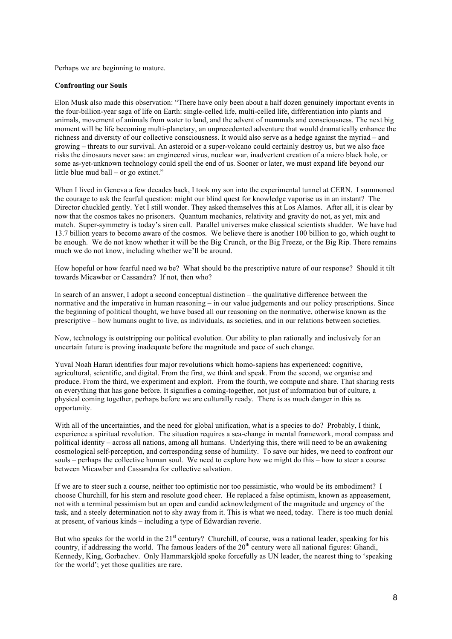Perhaps we are beginning to mature.

#### **Confronting our Souls**

Elon Musk also made this observation: "There have only been about a half dozen genuinely important events in the four-billion-year saga of life on Earth: single-celled life, multi-celled life, differentiation into plants and animals, movement of animals from water to land, and the advent of mammals and consciousness. The next big moment will be life becoming multi-planetary, an unprecedented adventure that would dramatically enhance the richness and diversity of our collective consciousness. It would also serve as a hedge against the myriad – and growing – threats to our survival. An asteroid or a super-volcano could certainly destroy us, but we also face risks the dinosaurs never saw: an engineered virus, nuclear war, inadvertent creation of a micro black hole, or some as-yet-unknown technology could spell the end of us. Sooner or later, we must expand life beyond our little blue mud ball – or go extinct."

When I lived in Geneva a few decades back, I took my son into the experimental tunnel at CERN. I summoned the courage to ask the fearful question: might our blind quest for knowledge vaporise us in an instant? The Director chuckled gently. Yet I still wonder. They asked themselves this at Los Alamos. After all, it is clear by now that the cosmos takes no prisoners. Quantum mechanics, relativity and gravity do not, as yet, mix and match. Super-symmetry is today's siren call. Parallel universes make classical scientists shudder. We have had 13.7 billion years to become aware of the cosmos. We believe there is another 100 billion to go, which ought to be enough. We do not know whether it will be the Big Crunch, or the Big Freeze, or the Big Rip. There remains much we do not know, including whether we'll be around.

How hopeful or how fearful need we be? What should be the prescriptive nature of our response? Should it tilt towards Micawber or Cassandra? If not, then who?

In search of an answer, I adopt a second conceptual distinction – the qualitative difference between the normative and the imperative in human reasoning – in our value judgements and our policy prescriptions. Since the beginning of political thought, we have based all our reasoning on the normative, otherwise known as the prescriptive – how humans ought to live, as individuals, as societies, and in our relations between societies.

Now, technology is outstripping our political evolution. Our ability to plan rationally and inclusively for an uncertain future is proving inadequate before the magnitude and pace of such change.

Yuval Noah Harari identifies four major revolutions which homo-sapiens has experienced: cognitive, agricultural, scientific, and digital. From the first, we think and speak. From the second, we organise and produce. From the third, we experiment and exploit. From the fourth, we compute and share. That sharing rests on everything that has gone before. It signifies a coming-together, not just of information but of culture, a physical coming together, perhaps before we are culturally ready. There is as much danger in this as opportunity.

With all of the uncertainties, and the need for global unification, what is a species to do? Probably, I think, experience a spiritual revolution. The situation requires a sea-change in mental framework, moral compass and political identity – across all nations, among all humans. Underlying this, there will need to be an awakening cosmological self-perception, and corresponding sense of humility. To save our hides, we need to confront our souls – perhaps the collective human soul. We need to explore how we might do this – how to steer a course between Micawber and Cassandra for collective salvation.

If we are to steer such a course, neither too optimistic nor too pessimistic, who would be its embodiment? I choose Churchill, for his stern and resolute good cheer. He replaced a false optimism, known as appeasement, not with a terminal pessimism but an open and candid acknowledgment of the magnitude and urgency of the task, and a steely determination not to shy away from it. This is what we need, today. There is too much denial at present, of various kinds – including a type of Edwardian reverie.

But who speaks for the world in the  $21<sup>st</sup>$  century? Churchill, of course, was a national leader, speaking for his country, if addressing the world. The famous leaders of the  $20<sup>th</sup>$  century were all national figures: Ghandi, Kennedy, King, Gorbachev. Only Hammarskjöld spoke forcefully as UN leader, the nearest thing to 'speaking for the world'; yet those qualities are rare.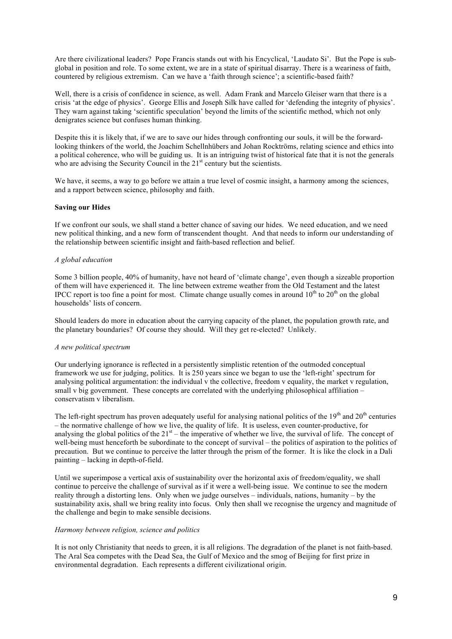Are there civilizational leaders? Pope Francis stands out with his Encyclical, 'Laudato Si'. But the Pope is subglobal in position and role. To some extent, we are in a state of spiritual disarray. There is a weariness of faith, countered by religious extremism. Can we have a 'faith through science'; a scientific-based faith?

Well, there is a crisis of confidence in science, as well. Adam Frank and Marcelo Gleiser warn that there is a crisis 'at the edge of physics'. George Ellis and Joseph Silk have called for 'defending the integrity of physics'. They warn against taking 'scientific speculation' beyond the limits of the scientific method, which not only denigrates science but confuses human thinking.

Despite this it is likely that, if we are to save our hides through confronting our souls, it will be the forwardlooking thinkers of the world, the Joachim Schellnhübers and Johan Rocktröms, relating science and ethics into a political coherence, who will be guiding us. It is an intriguing twist of historical fate that it is not the generals who are advising the Security Council in the  $21<sup>st</sup>$  century but the scientists.

We have, it seems, a way to go before we attain a true level of cosmic insight, a harmony among the sciences, and a rapport between science, philosophy and faith.

#### **Saving our Hides**

If we confront our souls, we shall stand a better chance of saving our hides. We need education, and we need new political thinking, and a new form of transcendent thought. And that needs to inform our understanding of the relationship between scientific insight and faith-based reflection and belief.

#### *A global education*

Some 3 billion people, 40% of humanity, have not heard of 'climate change', even though a sizeable proportion of them will have experienced it. The line between extreme weather from the Old Testament and the latest IPCC report is too fine a point for most. Climate change usually comes in around  $10<sup>th</sup>$  to  $20<sup>th</sup>$  on the global households' lists of concern.

Should leaders do more in education about the carrying capacity of the planet, the population growth rate, and the planetary boundaries? Of course they should. Will they get re-elected? Unlikely.

#### *A new political spectrum*

Our underlying ignorance is reflected in a persistently simplistic retention of the outmoded conceptual framework we use for judging, politics. It is 250 years since we began to use the 'left-right' spectrum for analysing political argumentation: the individual v the collective, freedom v equality, the market v regulation, small v big government. These concepts are correlated with the underlying philosophical affiliation – conservatism v liberalism.

The left-right spectrum has proven adequately useful for analysing national politics of the  $19<sup>th</sup>$  and  $20<sup>th</sup>$  centuries – the normative challenge of how we live, the quality of life. It is useless, even counter-productive, for analysing the global politics of the  $21<sup>st</sup>$  – the imperative of whether we live, the survival of life. The concept of well-being must henceforth be subordinate to the concept of survival – the politics of aspiration to the politics of precaution. But we continue to perceive the latter through the prism of the former. It is like the clock in a Dali painting – lacking in depth-of-field.

Until we superimpose a vertical axis of sustainability over the horizontal axis of freedom/equality, we shall continue to perceive the challenge of survival as if it were a well-being issue. We continue to see the modern reality through a distorting lens. Only when we judge ourselves – individuals, nations, humanity – by the sustainability axis, shall we bring reality into focus. Only then shall we recognise the urgency and magnitude of the challenge and begin to make sensible decisions.

#### *Harmony between religion, science and politics*

It is not only Christianity that needs to green, it is all religions. The degradation of the planet is not faith-based. The Aral Sea competes with the Dead Sea, the Gulf of Mexico and the smog of Beijing for first prize in environmental degradation. Each represents a different civilizational origin.